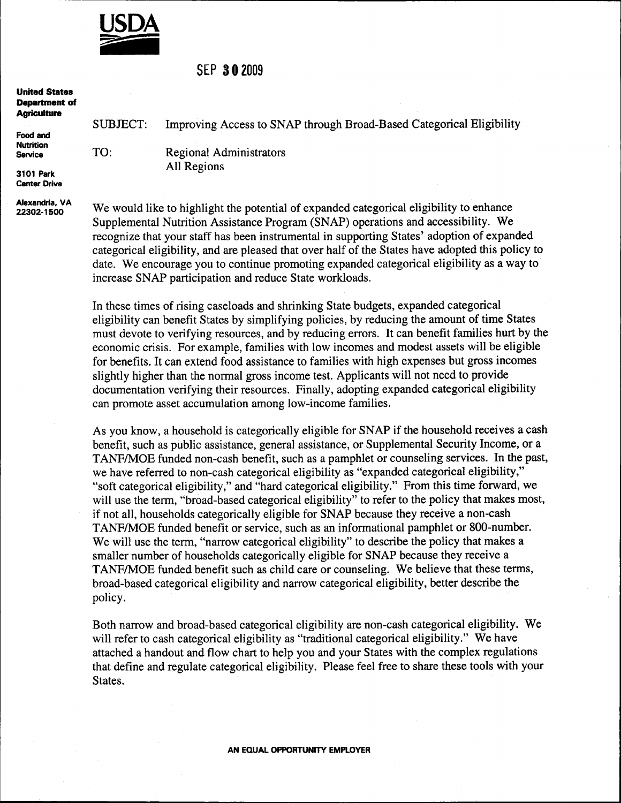

### sEP S02009

| <b>SUBJECT:</b> | Improving Access to SNAP through Broad-Based Categorical Eligibility |
|-----------------|----------------------------------------------------------------------|
|                 |                                                                      |
| TO:             | <b>Regional Administrators</b>                                       |
|                 | All Regions                                                          |
|                 |                                                                      |

Alexandria, VA 22302-1 500

We would like to highlight the potential of expanded categorical eligibility to enhance Supplemental Nutrition Assistance Program (SNAP) operations and accessibility. We recognize that your staff has been instrumental in supporting States' adoption of expanded categorical eligibility, and are pleased that over half of the States have adopted this policy to date. We encourage you to continue promoting expanded categorical eligibility as a way to increase SNAP participation and reduce State workloads.

In these times of rising caseloads and shrinking State budgets, expanded categorical eligibility can benefit States by simplifying policies, by reducing the amount of time States must devote to verifying resources, and by reducing errors. It can benefit families hurt by the economic crisis. For example, families with low incomes and modest assets will be eligible for benefits. It can extend food assistance to families with high expenses but gross incomes slightly higher than the normal gross income test. Applicants will not need to provide documentation verifying their resources. Finally, adopting expanded categorical eligibility can promote asset accumulation among low-income families.

As you know, a household is categorically eligible for SNAP if the household receives a cash benefit, such as public assistance, general assistance, or Supplemental Security Income, or a TANF/MOE funded non-cash benefit, such as a pamphlet or counseling services. In the past, we have referred to non-cash categorical eligibility as "expanded categorical eligibility," "soft categorical eligibility," and "hard categorical eligibility." From this time forward, we will use the term, "broad-based categorical eligibility" to refer to the policy that makes most, if not all, households categorically eligible for SNAP because they receive a non-cash TANF/MOE funded benefit or service, such as an informational pamphlet or 800-number. We will use the term, "narrow categorical eligibility" to describe the policy that makes a smaller number of households categorically eligible for SNAP because they receive a TANF/MOE funded benefit such as child care or counseling. We believe that these terms, broad-based categorical eligibility and narrow categorical eligibility, better describe the policy.

Both narrow and broad-based categorical eligibility are non-cash categorical eligibility. We will refer to cash categorical eligibility as "traditional categorical eligibility." We have attached a handout and flow chart to help you and your States with the complex regulations that define and regulate categorical eligibility. Please feel free to share these tools with your States.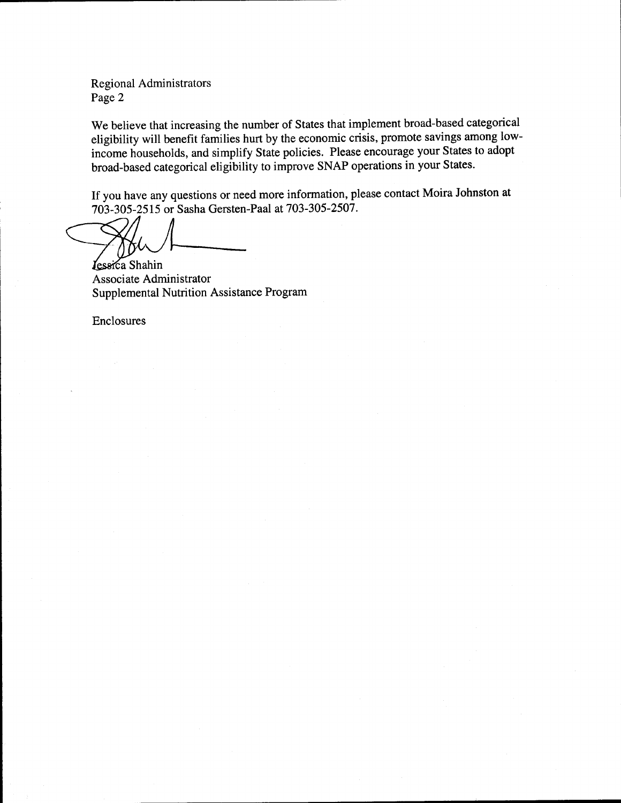Regional Administrators Page 2

We believe that increasing the number of States that implement broad-based categorical eligibility will benefit families hurt by the economic crisis, promote savings among lowincome households, and simplify State policies. Please encourage your States to adopt broad-based categorical eligibility to improve SNAP operations in your States.

If you have any questions or need more information, please contact Moira Johnston at 703-305-2515 or Sasha Gersten-Paal at 703-305-2507.

Lessica Shahin Associate Administrator Supplemental Nutrition Assistance Program

Enclosures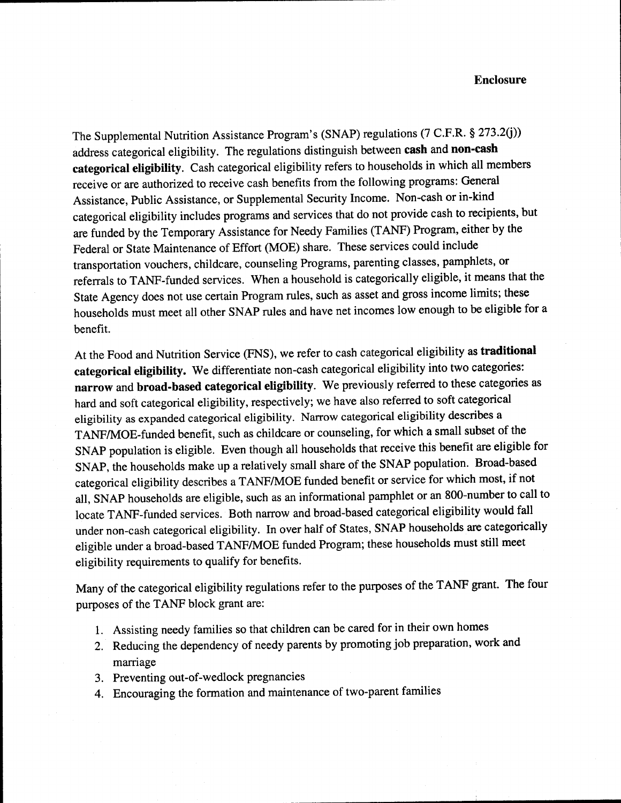#### Enclosure

The Supplemental Nutrition Assistance Program's (SNAP) regulations (7 C.F.R. g 273.2(j)) address categorical eligibility. The regulations distinguish between cash and non-cash categorical eligibility. Cash categorical eligibility refers to households in which all members receive or are authorized to receive cash benefits from the following programs: General Assistance, Public Assistance, or Supplemental Security Income. Non-cash or in-kind categorical eligibility includes programs and services that do not provide cash to recipients, but are funded by the Temporary Assistance for Needy Families (TANF) Program, either by the Federal or State Maintenance of Effort (MOE) share. These services could include transportation vouchers, childcare, counseling Programs, parenting classes, pamphlets, or referrals to TANF-funded services. When a household is categorically eligible, it means that the State Agency does not use certain Program rules, such as asset and gross income limits; these households must meet all other SNAP rules and have net incomes low enough to be eligible for <sup>a</sup> benefit.

At the Food and Nutrition Service (FNS), we refer to cash categorical eligibility as traditional categorical eligibility. we differentiate non-cash categorical eligibility into two categories: narrow and broad-based categorical eligibility. We previously referred to these categories as hard and soft categorical eligibility, respectively; we have also referred to soft categorical eligibility as expanded categorical eligibility. Narrow categorical eligibility describes <sup>a</sup> TANFAdOE-funded benefit, such as childcare or counseling, for which a small subset of the SNAp population is eligible. Even though all households that receive this benefit are eligible for SNAP, the households make up a relatively small share of the SNAP population. Broad-based categorical eligibility describes a TANF/MOE funded benefit or service for which most, if not all, SNAP households are eligible, such as an informational pamphlet or an 800-number to call to locate TANF-funded services. Both narrow and broad-based categorical eligibility would fall under non-cash categorical eligibility. In over half of States, SNAP households are categorically eligible under a broad-based TANF/MOE funded Program; these households must still meet eligibility requirements to qualify for benefits.

Many of the categorical eligibility regulations refer to the purposes of the TANF grant. The four purposes of the TANF block grant are:

- 1. Assisting needy families so that children can be cared for in their own homes
- 2. Reducing the dependency of needy parents by promoting job preparation, work and marriage
- 3. Preventing out-of-wedlock pregnancies
- 4. Encouraging the formation and maintenance of two-parent families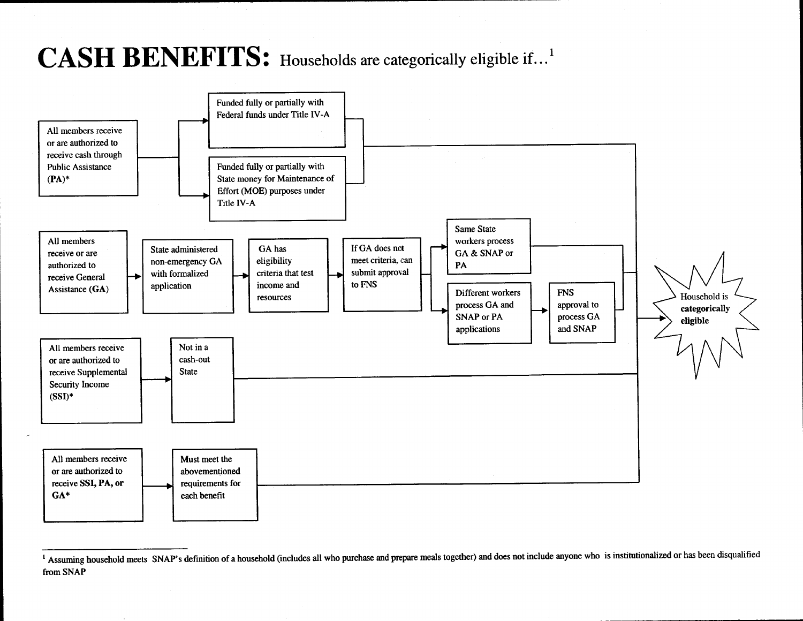# **CASH BENEFITS:** Households are categorically eligible if...<sup>1</sup>



<sup>&</sup>lt;sup>1</sup> Assuming household meets SNAP's definition of a household (includes all who purchase and prepare meals together) and does not include anyone who is institutionalized or has been disqualified from SNAP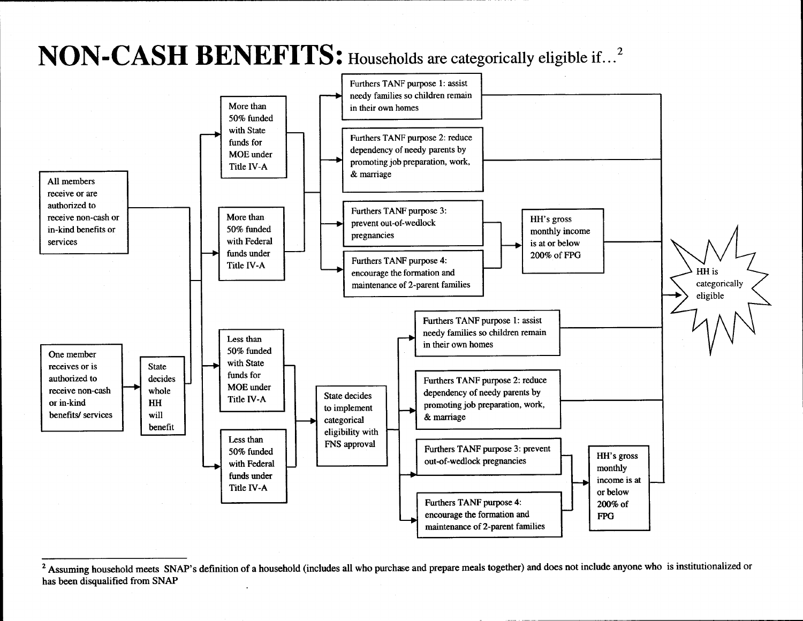# NON-CASH BENEFITS: Households are categorically eligible if...<sup>2</sup>



<sup>&</sup>lt;sup>2</sup> Assuming household meets SNAP's definition of a household (includes all who purchase and prepare meals together) and does not include anyone who is institutionalized or has been disqualified from SNAP